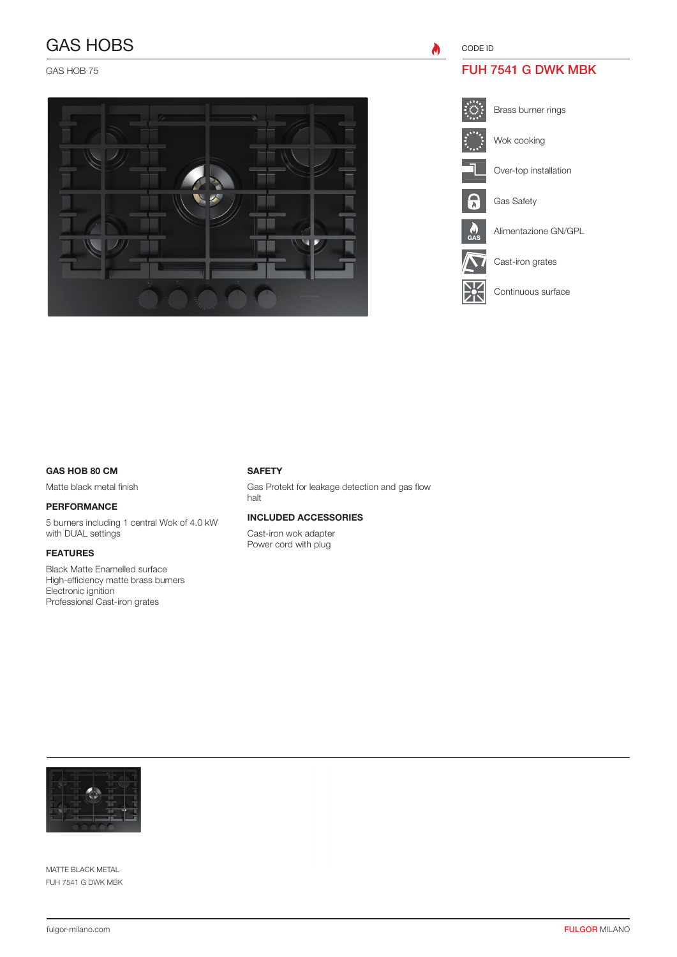# GAS HOBS

GAS HOB 75



CODE ID

 $\bullet$ 

# FUH 7541 G DWK MBK



Brass burner rings



Over-top installation

Gas Safety

GAS





Cast-iron grates

Continuous surface

### GAS HOB 80 CM

Matte black metal finish

### PERFORMANCE

5 burners including 1 central Wok of 4.0 kW with DUAL settings

## FEATURES

Black Matte Enamelled surface High-efficiency matte brass burners Electronic ignition Professional Cast-iron grates

#### **SAFETY**

Gas Protekt for leakage detection and gas flow halt

### INCLUDED ACCESSORIES

Cast-iron wok adapter Power cord with plug



MATTE BLACK METAL FUH 7541 G DWK MBK